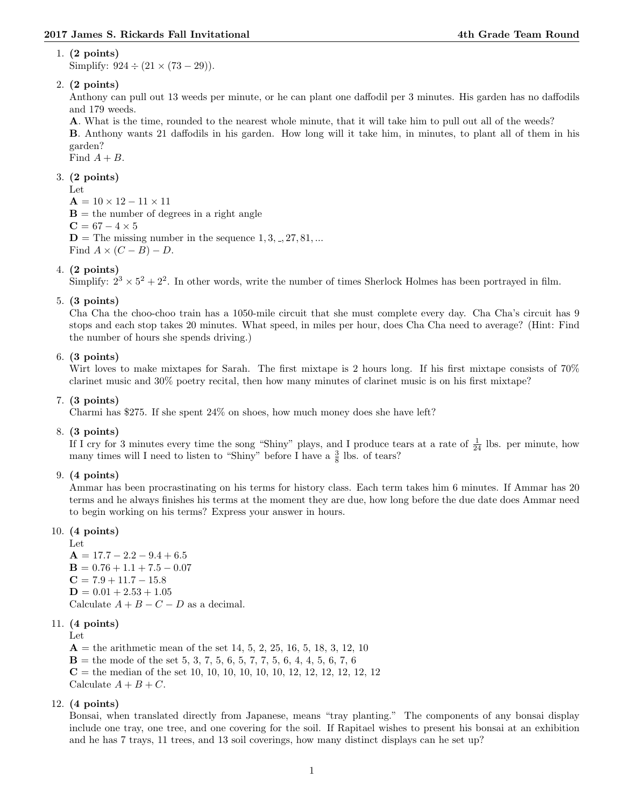### 1. (2 points)

Simplify:  $924 \div (21 \times (73 - 29))$ .

# 2. (2 points)

Anthony can pull out 13 weeds per minute, or he can plant one daffodil per 3 minutes. His garden has no daffodils and 179 weeds.

A. What is the time, rounded to the nearest whole minute, that it will take him to pull out all of the weeds? B. Anthony wants 21 daffodils in his garden. How long will it take him, in minutes, to plant all of them in his garden?

Find  $A + B$ .

## 3. (2 points)

Let

 $A = 10 \times 12 - 11 \times 11$  **= the number of degrees in a right angle**  $C = 67 - 4 \times 5$  $D =$  The missing number in the sequence  $1, 3, ..., 27, 81, ...$ Find  $A \times (C - B) - D$ .

## 4. (2 points)

Simplify:  $2^3 \times 5^2 + 2^2$ . In other words, write the number of times Sherlock Holmes has been portrayed in film.

### 5. (3 points)

Cha Cha the choo-choo train has a 1050-mile circuit that she must complete every day. Cha Cha's circuit has 9 stops and each stop takes 20 minutes. What speed, in miles per hour, does Cha Cha need to average? (Hint: Find the number of hours she spends driving.)

### 6. (3 points)

Wirt loves to make mixtapes for Sarah. The first mixtape is 2 hours long. If his first mixtape consists of  $70\%$ clarinet music and 30% poetry recital, then how many minutes of clarinet music is on his first mixtape?

### 7. (3 points)

Charmi has \$275. If she spent 24% on shoes, how much money does she have left?

### 8. (3 points)

If I cry for 3 minutes every time the song "Shiny" plays, and I produce tears at a rate of  $\frac{1}{24}$  lbs. per minute, how many times will I need to listen to "Shiny" before I have a  $\frac{3}{8}$  lbs. of tears?

### 9. (4 points)

Ammar has been procrastinating on his terms for history class. Each term takes him 6 minutes. If Ammar has 20 terms and he always finishes his terms at the moment they are due, how long before the due date does Ammar need to begin working on his terms? Express your answer in hours.

### 10. (4 points)

Let  $A = 17.7 - 2.2 - 9.4 + 6.5$  $\mathbf{B} = 0.76 + 1.1 + 7.5 - 0.07$  $C = 7.9 + 11.7 - 15.8$  $D = 0.01 + 2.53 + 1.05$ Calculate  $A + B - C - D$  as a decimal.

### 11. (4 points)

Let

 $A =$  the arithmetic mean of the set 14, 5, 2, 25, 16, 5, 18, 3, 12, 10  **the mode of the set 5, 3, 7, 5, 6, 5, 7, 7, 5, 6, 4, 4, 5, 6, 7, 6**  $C =$  the median of the set 10, 10, 10, 10, 10, 10, 12, 12, 12, 12, 12, 12 Calculate  $A + B + C$ .

### 12. (4 points)

Bonsai, when translated directly from Japanese, means "tray planting." The components of any bonsai display include one tray, one tree, and one covering for the soil. If Rapitael wishes to present his bonsai at an exhibition and he has 7 trays, 11 trees, and 13 soil coverings, how many distinct displays can he set up?